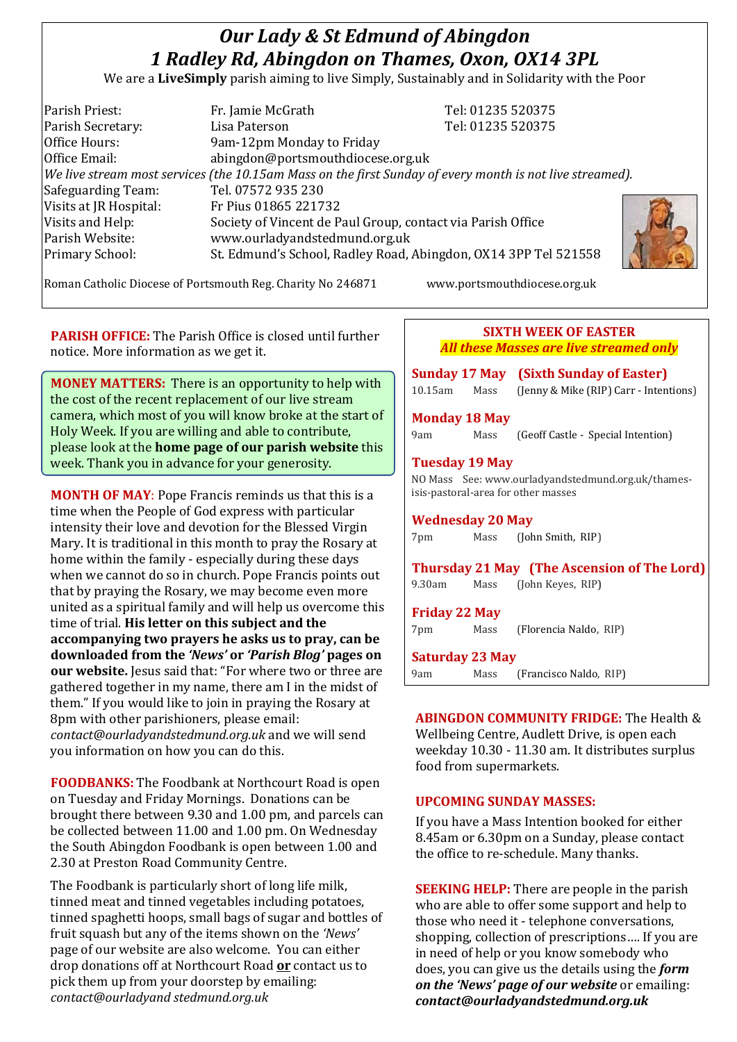# *Our Lady & St Edmund of Abingdon 1 Radley Rd, Abingdon on Thames, Oxon, OX14 3PL*

We are a **LiveSimply** parish aiming to live Simply, Sustainably and in Solidarity with the Poor

| Parish Priest:         | Fr. Jamie McGrath                                                                                            | Tel: 01235 520375 |
|------------------------|--------------------------------------------------------------------------------------------------------------|-------------------|
| Parish Secretary:      | Lisa Paterson                                                                                                | Tel: 01235 520375 |
| Office Hours:          | 9am-12pm Monday to Friday                                                                                    |                   |
| Office Email:          | abingdon@portsmouthdiocese.org.uk                                                                            |                   |
|                        | $ $ We live stream most services (the 10.15am Mass on the first Sunday of every month is not live streamed). |                   |
| Safeguarding Team:     | Tel. 07572 935 230                                                                                           |                   |
| Visits at JR Hospital: | Fr Pius 01865 221732                                                                                         |                   |
| Visits and Help:       | Society of Vincent de Paul Group, contact via Parish Office                                                  |                   |
| Parish Website:        | www.ourladyandstedmund.org.uk                                                                                |                   |
| Primary School:        | St. Edmund's School, Radley Road, Abingdon, OX14 3PP Tel 521558                                              |                   |
|                        |                                                                                                              |                   |



Roman Catholic Diocese of Portsmouth Reg. Charity No 246871 www.portsmouthdiocese.org.uk

**PARISH OFFICE:** The Parish Office is closed until further notice. More information as we get it.

**MONEY MATTERS:** There is an opportunity to help with the cost of the recent replacement of our live stream camera, which most of you will know broke at the start of Holy Week. If you are willing and able to contribute, please look at the **home page of our parish website** this week. Thank you in advance for your generosity.

**MONTH OF MAY**: Pope Francis reminds us that this is a time when the People of God express with particular intensity their love and devotion for the Blessed Virgin Mary. It is traditional in this month to pray the Rosary at home within the family - especially during these days when we cannot do so in church. Pope Francis points out that by praying the Rosary, we may become even more united as a spiritual family and will help us overcome this time of trial. **His letter on this subject and the accompanying two prayers he asks us to pray, can be downloaded from the** *'News'* **or** *'Parish Blog'* **pages on our website.** Jesus said that: "For where two or three are gathered together in my name, there am I in the midst of them." If you would like to join in praying the Rosary at 8pm with other parishioners, please email: *contact@ourladyandstedmund.org.uk* and we will send you information on how you can do this.

**FOODBANKS:** The Foodbank at Northcourt Road is open on Tuesday and Friday Mornings. Donations can be brought there between 9.30 and 1.00 pm, and parcels can be collected between 11.00 and 1.00 pm. On Wednesday the South Abingdon Foodbank is open between 1.00 and 2.30 at Preston Road Community Centre.

The Foodbank is particularly short of long life milk, tinned meat and tinned vegetables including potatoes, tinned spaghetti hoops, small bags of sugar and bottles of fruit squash but any of the items shown on the *'News'* page of our website are also welcome. You can either drop donations off at Northcourt Road **or** contact us to pick them up from your doorstep by emailing: *contact@ourladyand stedmund.org.uk*

#### **SIXTH WEEK OF EASTER** *All these Masses are live streamed only*

**Sunday 17 May (Sixth Sunday of Easter)** 10.15am Mass (Jenny & Mike (RIP) Carr - Intentions)

**Monday 18 May** 

9am Mass (Geoff Castle - Special Intention)

# **Tuesday 19 May**

NO Mass See: www.ourladyandstedmund.org.uk/thamesisis-pastoral-area for other masses

## **Wednesday 20 May**

7pm Mass (John Smith, RIP)

**Thursday 21 May (The Ascension of The Lord)** 9.30am Mass (John Keyes, RIP)

**Friday 22 May**

7pm Mass (Florencia Naldo, RIP)

**Saturday 23 May** 

9am Mass (Francisco Naldo, RIP)

**ABINGDON COMMUNITY FRIDGE:** The Health & Wellbeing Centre, Audlett Drive, is open each weekday 10.30 - 11.30 am. It distributes surplus food from supermarkets.

# **UPCOMING SUNDAY MASSES:**

If you have a Mass Intention booked for either 8.45am or 6.30pm on a Sunday, please contact the office to re-schedule. Many thanks.

**SEEKING HELP:** There are people in the parish who are able to offer some support and help to those who need it - telephone conversations, shopping, collection of prescriptions…. If you are in need of help or you know somebody who does, you can give us the details using the *form on the 'News' page of our website* or emailing: *contact@ourladyandstedmund.org.uk*